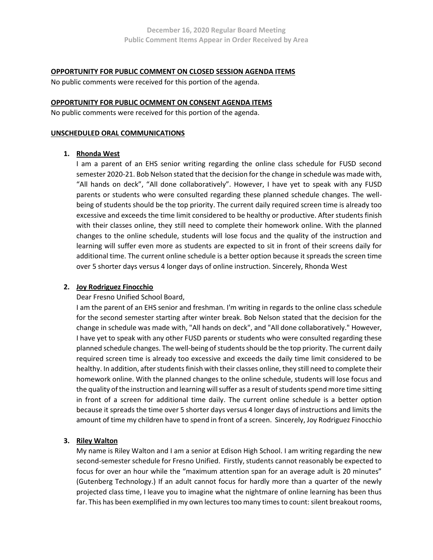#### **OPPORTUNITY FOR PUBLIC COMMENT ON CLOSED SESSION AGENDA ITEMS**

No public comments were received for this portion of the agenda.

## **OPPORTUNITY FOR PUBLIC OCMMENT ON CONSENT AGENDA ITEMS**

No public comments were received for this portion of the agenda.

#### **UNSCHEDULED ORAL COMMUNICATIONS**

## **1. Rhonda West**

I am a parent of an EHS senior writing regarding the online class schedule for FUSD second semester 2020-21. Bob Nelson stated that the decision for the change in schedule was made with, "All hands on deck", "All done collaboratively". However, I have yet to speak with any FUSD parents or students who were consulted regarding these planned schedule changes. The wellbeing of students should be the top priority. The current daily required screen time is already too excessive and exceeds the time limit considered to be healthy or productive. After students finish with their classes online, they still need to complete their homework online. With the planned changes to the online schedule, students will lose focus and the quality of the instruction and learning will suffer even more as students are expected to sit in front of their screens daily for additional time. The current online schedule is a better option because it spreads the screen time over 5 shorter days versus 4 longer days of online instruction. Sincerely, Rhonda West

# **2. Joy Rodriguez Finocchio**

Dear Fresno Unified School Board,

I am the parent of an EHS senior and freshman. I'm writing in regards to the online class schedule for the second semester starting after winter break. Bob Nelson stated that the decision for the change in schedule was made with, "All hands on deck", and "All done collaboratively." However, I have yet to speak with any other FUSD parents or students who were consulted regarding these planned schedule changes. The well-being of students should be the top priority. The current daily required screen time is already too excessive and exceeds the daily time limit considered to be healthy. In addition, after students finish with their classes online, they still need to complete their homework online. With the planned changes to the online schedule, students will lose focus and the quality of the instruction and learning will suffer as a result of students spend more time sitting in front of a screen for additional time daily. The current online schedule is a better option because it spreads the time over 5 shorter days versus 4 longer days of instructions and limits the amount of time my children have to spend in front of a screen. Sincerely, Joy Rodriguez Finocchio

# **3. Riley Walton**

My name is Riley Walton and I am a senior at Edison High School. I am writing regarding the new second-semester schedule for Fresno Unified. Firstly, students cannot reasonably be expected to focus for over an hour while the "maximum attention span for an average adult is 20 minutes" (Gutenberg Technology.) If an adult cannot focus for hardly more than a quarter of the newly projected class time, I leave you to imagine what the nightmare of online learning has been thus far. This has been exemplified in my own lectures too many times to count: silent breakout rooms,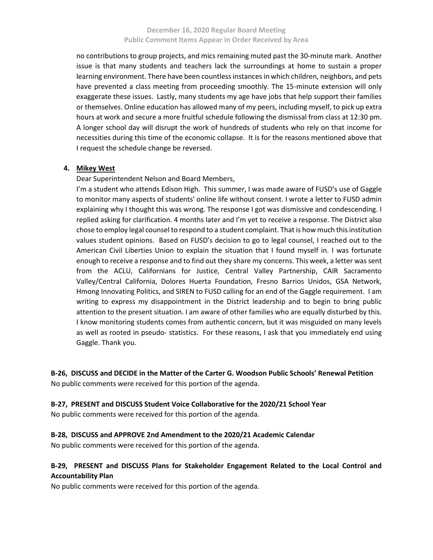no contributions to group projects, and mics remaining muted past the 30-minute mark. Another issue is that many students and teachers lack the surroundings at home to sustain a proper learning environment. There have been countless instances in which children, neighbors, and pets have prevented a class meeting from proceeding smoothly. The 15-minute extension will only exaggerate these issues. Lastly, many students my age have jobs that help support their families or themselves. Online education has allowed many of my peers, including myself, to pick up extra hours at work and secure a more fruitful schedule following the dismissal from class at 12:30 pm. A longer school day will disrupt the work of hundreds of students who rely on that income for necessities during this time of the economic collapse. It is for the reasons mentioned above that I request the schedule change be reversed.

## **4. Mikey West**

Dear Superintendent Nelson and Board Members,

I'm a student who attends Edison High. This summer, I was made aware of FUSD's use of Gaggle to monitor many aspects of students' online life without consent. I wrote a letter to FUSD admin explaining why I thought this was wrong. The response I got was dismissive and condescending. I replied asking for clarification. 4 months later and I'm yet to receive a response. The District also chose to employ legal counsel to respond to a student complaint. That is how much this institution values student opinions. Based on FUSD's decision to go to legal counsel, I reached out to the American Civil Liberties Union to explain the situation that I found myself in. I was fortunate enough to receive a response and to find out they share my concerns. This week, a letter was sent from the ACLU, Californians for Justice, Central Valley Partnership, CAIR Sacramento Valley/Central California, Dolores Huerta Foundation, Fresno Barrios Unidos, GSA Network, Hmong Innovating Politics, and SIREN to FUSD calling for an end of the Gaggle requirement. I am writing to express my disappointment in the District leadership and to begin to bring public attention to the present situation. I am aware of other families who are equally disturbed by this. I know monitoring students comes from authentic concern, but it was misguided on many levels as well as rooted in pseudo- statistics. For these reasons, I ask that you immediately end using Gaggle. Thank you.

**B-26, DISCUSS and DECIDE in the Matter of the Carter G. Woodson Public Schools' Renewal Petition** No public comments were received for this portion of the agenda.

#### **B-27, PRESENT and DISCUSS Student Voice Collaborative for the 2020/21 School Year**

No public comments were received for this portion of the agenda.

# **B-28, DISCUSS and APPROVE 2nd Amendment to the 2020/21 Academic Calendar**

No public comments were received for this portion of the agenda.

# **B-29, PRESENT and DISCUSS Plans for Stakeholder Engagement Related to the Local Control and Accountability Plan**

No public comments were received for this portion of the agenda.